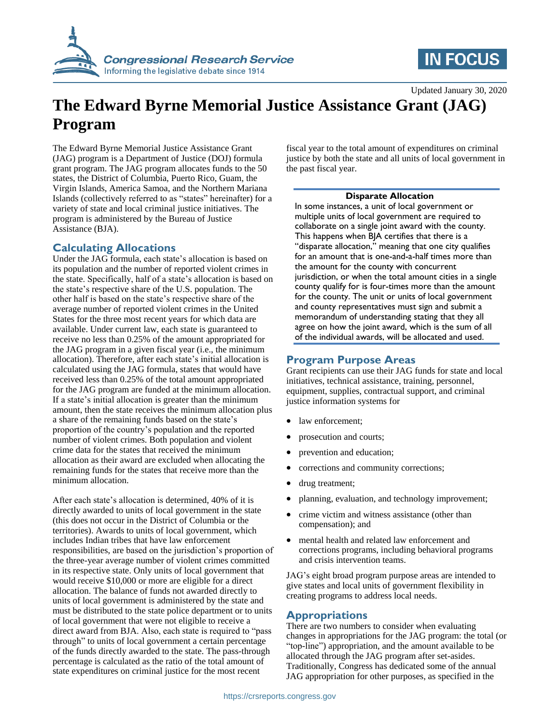



Updated January 30, 2020

# **The Edward Byrne Memorial Justice Assistance Grant (JAG) Program**

The Edward Byrne Memorial Justice Assistance Grant (JAG) program is a Department of Justice (DOJ) formula grant program. The JAG program allocates funds to the 50 states, the District of Columbia, Puerto Rico, Guam, the Virgin Islands, America Samoa, and the Northern Mariana Islands (collectively referred to as "states" hereinafter) for a variety of state and local criminal justice initiatives. The program is administered by the Bureau of Justice Assistance (BJA).

## **Calculating Allocations**

Under the JAG formula, each state's allocation is based on its population and the number of reported violent crimes in the state. Specifically, half of a state's allocation is based on the state's respective share of the U.S. population. The other half is based on the state's respective share of the average number of reported violent crimes in the United States for the three most recent years for which data are available. Under current law, each state is guaranteed to receive no less than 0.25% of the amount appropriated for the JAG program in a given fiscal year (i.e., the minimum allocation). Therefore, after each state's initial allocation is calculated using the JAG formula, states that would have received less than 0.25% of the total amount appropriated for the JAG program are funded at the minimum allocation. If a state's initial allocation is greater than the minimum amount, then the state receives the minimum allocation plus a share of the remaining funds based on the state's proportion of the country's population and the reported number of violent crimes. Both population and violent crime data for the states that received the minimum allocation as their award are excluded when allocating the remaining funds for the states that receive more than the minimum allocation.

After each state's allocation is determined, 40% of it is directly awarded to units of local government in the state (this does not occur in the District of Columbia or the territories). Awards to units of local government, which includes Indian tribes that have law enforcement responsibilities, are based on the jurisdiction's proportion of the three-year average number of violent crimes committed in its respective state. Only units of local government that would receive \$10,000 or more are eligible for a direct allocation. The balance of funds not awarded directly to units of local government is administered by the state and must be distributed to the state police department or to units of local government that were not eligible to receive a direct award from BJA. Also, each state is required to "pass through" to units of local government a certain percentage of the funds directly awarded to the state. The pass-through percentage is calculated as the ratio of the total amount of state expenditures on criminal justice for the most recent

fiscal year to the total amount of expenditures on criminal justice by both the state and all units of local government in the past fiscal year.

#### **Disparate Allocation**

In some instances, a unit of local government or multiple units of local government are required to collaborate on a single joint award with the county. This happens when BJA certifies that there is a "disparate allocation," meaning that one city qualifies for an amount that is one-and-a-half times more than the amount for the county with concurrent jurisdiction, or when the total amount cities in a single county qualify for is four-times more than the amount for the county. The unit or units of local government and county representatives must sign and submit a memorandum of understanding stating that they all agree on how the joint award, which is the sum of all of the individual awards, will be allocated and used.

### **Program Purpose Areas**

Grant recipients can use their JAG funds for state and local initiatives, technical assistance, training, personnel, equipment, supplies, contractual support, and criminal justice information systems for

- law enforcement;
- prosecution and courts;
- prevention and education;
- corrections and community corrections;
- drug treatment;
- planning, evaluation, and technology improvement;
- crime victim and witness assistance (other than compensation); and
- mental health and related law enforcement and corrections programs, including behavioral programs and crisis intervention teams.

JAG's eight broad program purpose areas are intended to give states and local units of government flexibility in creating programs to address local needs.

#### **Appropriations**

There are two numbers to consider when evaluating changes in appropriations for the JAG program: the total (or "top-line") appropriation, and the amount available to be allocated through the JAG program after set-asides. Traditionally, Congress has dedicated some of the annual JAG appropriation for other purposes, as specified in the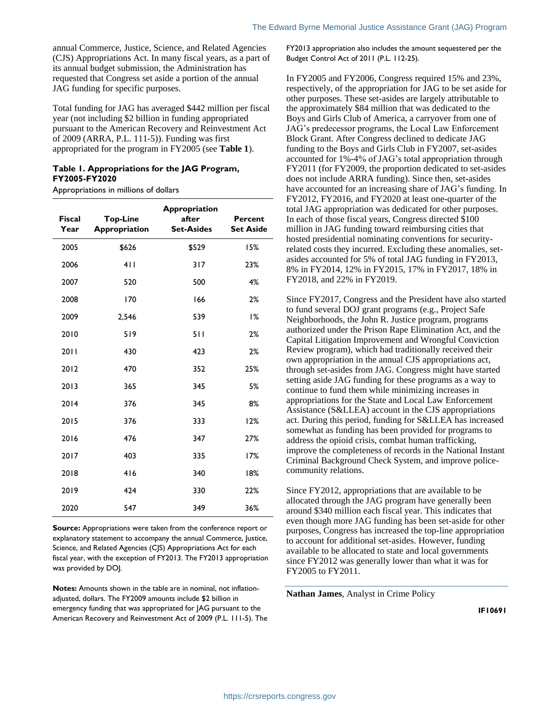annual Commerce, Justice, Science, and Related Agencies (CJS) Appropriations Act. In many fiscal years, as a part of its annual budget submission, the Administration has requested that Congress set aside a portion of the annual JAG funding for specific purposes.

Total funding for JAG has averaged \$442 million per fiscal year (not including \$2 billion in funding appropriated pursuant to the American Recovery and Reinvestment Act of 2009 (ARRA, P.L. 111-5)). Funding was first appropriated for the program in FY2005 (see **[Table 1](#page-1-0)**).

#### <span id="page-1-0"></span>**Table 1. Appropriations for the JAG Program, FY2005-FY2020**

Appropriations in millions of dollars

| <b>Fiscal</b><br>Year | <b>Top-Line</b><br>Appropriation | Appropriation<br>after<br><b>Set-Asides</b> | Percent<br><b>Set Aside</b> |
|-----------------------|----------------------------------|---------------------------------------------|-----------------------------|
| 2005                  | \$626                            | \$529                                       | 15%                         |
| 2006                  | 411                              | 317                                         | 23%                         |
| 2007                  | 520                              | 500                                         | 4%                          |
| 2008                  | 170                              | 166                                         | 2%                          |
| 2009                  | 2,546                            | 539                                         | 1%                          |
| 2010                  | 519                              | 511                                         | 2%                          |
| 2011                  | 430                              | 423                                         | 2%                          |
| 2012                  | 470                              | 352                                         | 25%                         |
| 2013                  | 365                              | 345                                         | 5%                          |
| 2014                  | 376                              | 345                                         | 8%                          |
| 2015                  | 376                              | 333                                         | 12%                         |
| 2016                  | 476                              | 347                                         | 27%                         |
| 2017                  | 403                              | 335                                         | 17%                         |
| 2018                  | 416                              | 340                                         | 18%                         |
| 2019                  | 424                              | 330                                         | 22%                         |
| 2020                  | 547                              | 349                                         | 36%                         |

**Source:** Appropriations were taken from the conference report or explanatory statement to accompany the annual Commerce, Justice, Science, and Related Agencies (CJS) Appropriations Act for each fiscal year, with the exception of FY2013. The FY2013 appropriation was provided by DOJ.

**Notes:** Amounts shown in the table are in nominal, not inflationadjusted, dollars. The FY2009 amounts include \$2 billion in emergency funding that was appropriated for JAG pursuant to the American Recovery and Reinvestment Act of 2009 (P.L. 111-5). The FY2013 appropriation also includes the amount sequestered per the Budget Control Act of 2011 (P.L. 112-25).

In FY2005 and FY2006, Congress required 15% and 23%, respectively, of the appropriation for JAG to be set aside for other purposes. These set-asides are largely attributable to the approximately \$84 million that was dedicated to the Boys and Girls Club of America, a carryover from one of JAG's predecessor programs, the Local Law Enforcement Block Grant. After Congress declined to dedicate JAG funding to the Boys and Girls Club in FY2007, set-asides accounted for 1%-4% of JAG's total appropriation through FY2011 (for FY2009, the proportion dedicated to set-asides does not include ARRA funding). Since then, set-asides have accounted for an increasing share of JAG's funding. In FY2012, FY2016, and FY2020 at least one-quarter of the total JAG appropriation was dedicated for other purposes. In each of those fiscal years, Congress directed \$100 million in JAG funding toward reimbursing cities that hosted presidential nominating conventions for securityrelated costs they incurred. Excluding these anomalies, setasides accounted for 5% of total JAG funding in FY2013, 8% in FY2014, 12% in FY2015, 17% in FY2017, 18% in FY2018, and 22% in FY2019.

Since FY2017, Congress and the President have also started to fund several DOJ grant programs (e.g., Project Safe Neighborhoods, the John R. Justice program, programs authorized under the Prison Rape Elimination Act, and the Capital Litigation Improvement and Wrongful Conviction Review program), which had traditionally received their own appropriation in the annual CJS appropriations act, through set-asides from JAG. Congress might have started setting aside JAG funding for these programs as a way to continue to fund them while minimizing increases in appropriations for the State and Local Law Enforcement Assistance (S&LLEA) account in the CJS appropriations act. During this period, funding for S&LLEA has increased somewhat as funding has been provided for programs to address the opioid crisis, combat human trafficking, improve the completeness of records in the National Instant Criminal Background Check System, and improve policecommunity relations.

Since FY2012, appropriations that are available to be allocated through the JAG program have generally been around \$340 million each fiscal year. This indicates that even though more JAG funding has been set-aside for other purposes, Congress has increased the top-line appropriation to account for additional set-asides. However, funding available to be allocated to state and local governments since FY2012 was generally lower than what it was for FY2005 to FY2011.

**Nathan James**, Analyst in Crime Policy

**IF10691**